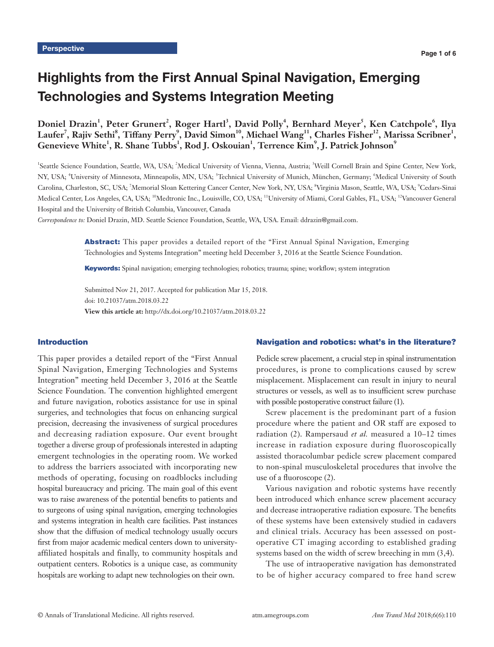# Highlights from the First Annual Spinal Navigation, Emerging Technologies and Systems Integration Meeting

**Doniel Drazin<sup>1</sup> , Peter Grunert<sup>2</sup> , Roger Hartl<sup>3</sup> , David Polly<sup>4</sup> , Bernhard Meyer<sup>5</sup> , Ken Catchpole<sup>6</sup> , Ilya**  Laufer<sup>7</sup>, Rajiv Sethi<sup>8</sup>, Tiffany Perry<sup>9</sup>, David Simon<sup>10</sup>, Michael Wang<sup>11</sup>, Charles Fisher<sup>12</sup>, Marissa Scribner<sup>1</sup>,  $\mathbf{G}$ enevieve White<sup>1</sup>, R. Shane Tubbs<sup>1</sup>, Rod J. Oskouian<sup>1</sup>, Terrence Kim<sup>9</sup>, J. Patrick Johnson<sup>9</sup>

<sup>1</sup>Seattle Science Foundation, Seattle, WA, USA; <sup>2</sup>Medical University of Vienna, Vienna, Austria; <sup>3</sup>Weill Cornell Brain and Spine Center, New York, NY, USA; <sup>4</sup>University of Minnesota, Minneapolis, MN, USA; <sup>5</sup>Technical University of Munich, München, Germany; <sup>6</sup>Medical University of South Carolina, Charleston, SC, USA; <sup>7</sup>Memorial Sloan Kettering Cancer Center, New York, NY, USA; <sup>8</sup>Virginia Mason, Seattle, WA, USA; <sup>9</sup>Cedars-Sinai Medical Center, Los Angeles, CA, USA; <sup>10</sup>Medtronic Inc., Louisville, CO, USA; <sup>11</sup>University of Miami, Coral Gables, FL, USA; <sup>12</sup>Vancouver General Hospital and the University of British Columbia, Vancouver, Canada

*Correspondence to:* Doniel Drazin, MD. Seattle Science Foundation, Seattle, WA, USA. Email: ddrazin@gmail.com.

Abstract: This paper provides a detailed report of the "First Annual Spinal Navigation, Emerging Technologies and Systems Integration" meeting held December 3, 2016 at the Seattle Science Foundation.

Keywords: Spinal navigation; emerging technologies; robotics; trauma; spine; workflow; system integration

Submitted Nov 21, 2017. Accepted for publication Mar 15, 2018. doi: 10.21037/atm.2018.03.22 **View this article at:** http://dx.doi.org/10.21037/atm.2018.03.22

## Introduction

This paper provides a detailed report of the "First Annual Spinal Navigation, Emerging Technologies and Systems Integration" meeting held December 3, 2016 at the Seattle Science Foundation. The convention highlighted emergent and future navigation, robotics assistance for use in spinal surgeries, and technologies that focus on enhancing surgical precision, decreasing the invasiveness of surgical procedures and decreasing radiation exposure. Our event brought together a diverse group of professionals interested in adapting emergent technologies in the operating room. We worked to address the barriers associated with incorporating new methods of operating, focusing on roadblocks including hospital bureaucracy and pricing. The main goal of this event was to raise awareness of the potential benefits to patients and to surgeons of using spinal navigation, emerging technologies and systems integration in health care facilities. Past instances show that the diffusion of medical technology usually occurs first from major academic medical centers down to universityaffiliated hospitals and finally, to community hospitals and outpatient centers. Robotics is a unique case, as community hospitals are working to adapt new technologies on their own.

## Navigation and robotics: what's in the literature?

Pedicle screw placement, a crucial step in spinal instrumentation procedures, is prone to complications caused by screw misplacement. Misplacement can result in injury to neural structures or vessels, as well as to insufficient screw purchase with possible postoperative construct failure (1).

Screw placement is the predominant part of a fusion procedure where the patient and OR staff are exposed to radiation (2). Rampersaud *et al.* measured a 10–12 times increase in radiation exposure during fluoroscopically assisted thoracolumbar pedicle screw placement compared to non-spinal musculoskeletal procedures that involve the use of a fluoroscope (2).

Various navigation and robotic systems have recently been introduced which enhance screw placement accuracy and decrease intraoperative radiation exposure. The benefits of these systems have been extensively studied in cadavers and clinical trials. Accuracy has been assessed on postoperative CT imaging according to established grading systems based on the width of screw breeching in mm (3,4).

The use of intraoperative navigation has demonstrated to be of higher accuracy compared to free hand screw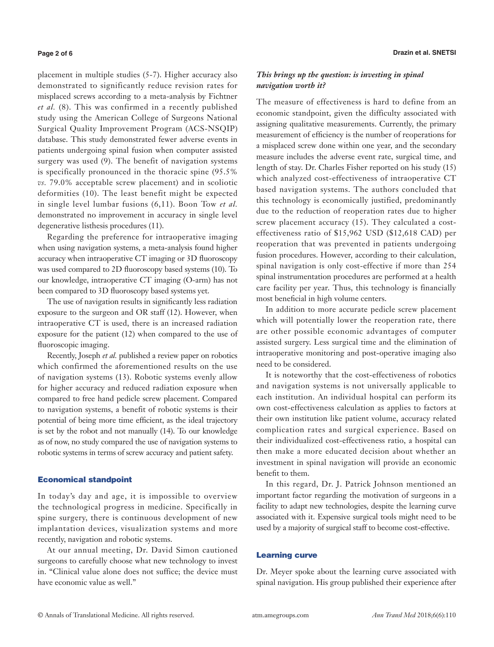placement in multiple studies (5-7). Higher accuracy also demonstrated to significantly reduce revision rates for misplaced screws according to a meta-analysis by Fichtner *et al.* (8). This was confirmed in a recently published study using the American College of Surgeons National Surgical Quality Improvement Program (ACS-NSQIP) database. This study demonstrated fewer adverse events in patients undergoing spinal fusion when computer assisted surgery was used (9). The benefit of navigation systems is specifically pronounced in the thoracic spine (95.5% *vs.* 79.0% acceptable screw placement) and in scoliotic deformities (10). The least benefit might be expected in single level lumbar fusions (6,11). Boon Tow *et al.* demonstrated no improvement in accuracy in single level degenerative listhesis procedures (11).

Regarding the preference for intraoperative imaging when using navigation systems, a meta-analysis found higher accuracy when intraoperative CT imaging or 3D fluoroscopy was used compared to 2D fluoroscopy based systems (10). To our knowledge, intraoperative CT imaging (O-arm) has not been compared to 3D fluoroscopy based systems yet.

The use of navigation results in significantly less radiation exposure to the surgeon and OR staff (12). However, when intraoperative CT is used, there is an increased radiation exposure for the patient (12) when compared to the use of fluoroscopic imaging.

Recently, Joseph *et al.* published a review paper on robotics which confirmed the aforementioned results on the use of navigation systems (13). Robotic systems evenly allow for higher accuracy and reduced radiation exposure when compared to free hand pedicle screw placement. Compared to navigation systems, a benefit of robotic systems is their potential of being more time efficient, as the ideal trajectory is set by the robot and not manually (14). To our knowledge as of now, no study compared the use of navigation systems to robotic systems in terms of screw accuracy and patient safety.

## Economical standpoint

In today's day and age, it is impossible to overview the technological progress in medicine. Specifically in spine surgery, there is continuous development of new implantation devices, visualization systems and more recently, navigation and robotic systems.

At our annual meeting, Dr. David Simon cautioned surgeons to carefully choose what new technology to invest in. "Clinical value alone does not suffice; the device must have economic value as well."

# *This brings up the question: is investing in spinal navigation worth it?*

The measure of effectiveness is hard to define from an economic standpoint, given the difficulty associated with assigning qualitative measurements. Currently, the primary measurement of efficiency is the number of reoperations for a misplaced screw done within one year, and the secondary measure includes the adverse event rate, surgical time, and length of stay. Dr. Charles Fisher reported on his study (15) which analyzed cost-effectiveness of intraoperative CT based navigation systems. The authors concluded that this technology is economically justified, predominantly due to the reduction of reoperation rates due to higher screw placement accuracy (15). They calculated a costeffectiveness ratio of \$15,962 USD (\$12,618 CAD) per reoperation that was prevented in patients undergoing fusion procedures. However, according to their calculation, spinal navigation is only cost-effective if more than 254 spinal instrumentation procedures are performed at a health care facility per year. Thus, this technology is financially most beneficial in high volume centers.

In addition to more accurate pedicle screw placement which will potentially lower the reoperation rate, there are other possible economic advantages of computer assisted surgery. Less surgical time and the elimination of intraoperative monitoring and post-operative imaging also need to be considered.

It is noteworthy that the cost-effectiveness of robotics and navigation systems is not universally applicable to each institution. An individual hospital can perform its own cost-effectiveness calculation as applies to factors at their own institution like patient volume, accuracy related complication rates and surgical experience. Based on their individualized cost-effectiveness ratio, a hospital can then make a more educated decision about whether an investment in spinal navigation will provide an economic benefit to them.

In this regard, Dr. J. Patrick Johnson mentioned an important factor regarding the motivation of surgeons in a facility to adapt new technologies, despite the learning curve associated with it. Expensive surgical tools might need to be used by a majority of surgical staff to become cost-effective.

## Learning curve

Dr. Meyer spoke about the learning curve associated with spinal navigation. His group published their experience after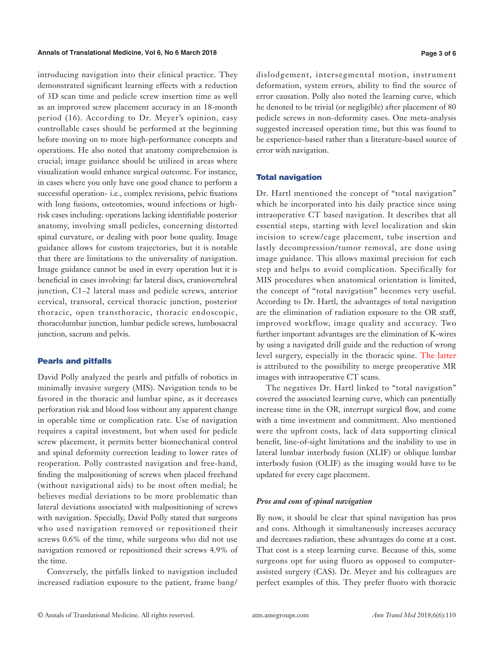#### **Annals of Translational Medicine, Vol 6, No 6 March 2018 Page 3 of 6**

introducing navigation into their clinical practice. They demonstrated significant learning effects with a reduction of 3D scan time and pedicle screw insertion time as well as an improved screw placement accuracy in an 18-month period (16). According to Dr. Meyer's opinion, easy controllable cases should be performed at the beginning before moving on to more high-performance concepts and operations. He also noted that anatomy comprehension is crucial; image guidance should be utilized in areas where visualization would enhance surgical outcome. For instance, in cases where you only have one good chance to perform a successful operation- i.e., complex revisions, pelvic fixations with long fusions, osteotomies, wound infections or highrisk cases including: operations lacking identifiable posterior anatomy, involving small pedicles, concerning distorted spinal curvature, or dealing with poor bone quality. Image guidance allows for custom trajectories, but it is notable that there are limitations to the universality of navigation. Image guidance cannot be used in every operation but it is beneficial in cases involving: far lateral discs, craniovertebral junction, C1–2 lateral mass and pedicle screws, anterior cervical, transoral, cervical thoracic junction, posterior thoracic, open transthoracic, thoracic endoscopic, thoracolumbar junction, lumbar pedicle screws, lumbosacral junction, sacrum and pelvis.

# Pearls and pitfalls

David Polly analyzed the pearls and pitfalls of robotics in minimally invasive surgery (MIS). Navigation tends to be favored in the thoracic and lumbar spine, as it decreases perforation risk and blood loss without any apparent change in operable time or complication rate. Use of navigation requires a capital investment, but when used for pedicle screw placement, it permits better biomechanical control and spinal deformity correction leading to lower rates of reoperation. Polly contrasted navigation and free-hand, finding the malpositioning of screws when placed freehand (without navigational aids) to be most often medial; he believes medial deviations to be more problematic than lateral deviations associated with malpositioning of screws with navigation. Specially, David Polly stated that surgeons who used navigation removed or repositioned their screws 0.6% of the time, while surgeons who did not use navigation removed or repositioned their screws 4.9% of the time.

Conversely, the pitfalls linked to navigation included increased radiation exposure to the patient, frame bang/ dislodgement, intersegmental motion, instrument deformation, system errors, ability to find the source of error causation. Polly also noted the learning curve, which he denoted to be trivial (or negligible) after placement of 80 pedicle screws in non-deformity cases. One meta-analysis suggested increased operation time, but this was found to be experience-based rather than a literature-based source of error with navigation.

## Total navigation

Dr. Hartl mentioned the concept of "total navigation" which he incorporated into his daily practice since using intraoperative CT based navigation. It describes that all essential steps, starting with level localization and skin incision to screw/cage placement, tube insertion and lastly decompression/tumor removal, are done using image guidance. This allows maximal precision for each step and helps to avoid complication. Specifically for MIS procedures when anatomical orientation is limited, the concept of "total navigation" becomes very useful. According to Dr. Hartl, the advantages of total navigation are the elimination of radiation exposure to the OR staff, improved workflow, image quality and accuracy. Two further important advantages are the elimination of K-wires by using a navigated drill guide and the reduction of wrong level surgery, especially in the thoracic spine. The latter is attributed to the possibility to merge preoperative MR images with intraoperative CT scans.

The negatives Dr. Hartl linked to "total navigation" covered the associated learning curve, which can potentially increase time in the OR, interrupt surgical flow, and come with a time investment and commitment. Also mentioned were the upfront costs, lack of data supporting clinical benefit, line-of-sight limitations and the inability to use in lateral lumbar interbody fusion (XLIF) or oblique lumbar interbody fusion (OLIF) as the imaging would have to be updated for every cage placement.

# *Pros and cons of spinal navigation*

By now, it should be clear that spinal navigation has pros and cons. Although it simultaneously increases accuracy and decreases radiation, these advantages do come at a cost. That cost is a steep learning curve. Because of this, some surgeons opt for using fluoro as opposed to computerassisted surgery (CAS). Dr. Meyer and his colleagues are perfect examples of this. They prefer fluoro with thoracic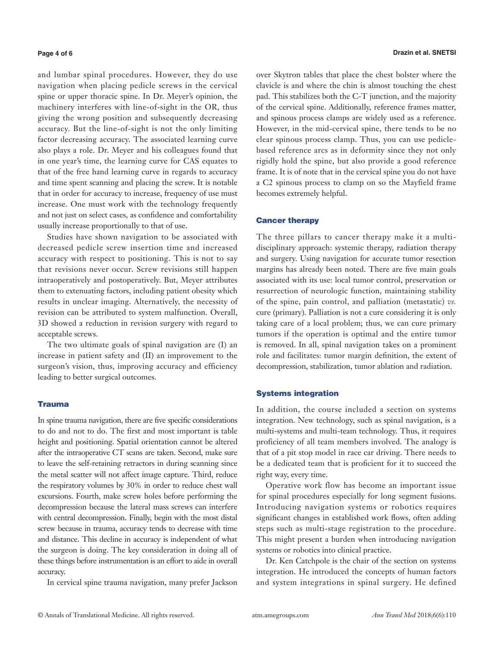#### **Page 4 of 6**

and lumbar spinal procedures. However, they do use navigation when placing pedicle screws in the cervical spine or upper thoracic spine. In Dr. Meyer's opinion, the machinery interferes with line-of-sight in the OR, thus giving the wrong position and subsequently decreasing accuracy. But the line-of-sight is not the only limiting factor decreasing accuracy. The associated learning curve also plays a role. Dr. Meyer and his colleagues found that in one year's time, the learning curve for CAS equates to that of the free hand learning curve in regards to accuracy and time spent scanning and placing the screw. It is notable that in order for accuracy to increase, frequency of use must increase. One must work with the technology frequently and not just on select cases, as confidence and comfortability usually increase proportionally to that of use.

Studies have shown navigation to be associated with decreased pedicle screw insertion time and increased accuracy with respect to positioning. This is not to say that revisions never occur. Screw revisions still happen intraoperatively and postoperatively. But, Meyer attributes them to extenuating factors, including patient obesity which results in unclear imaging. Alternatively, the necessity of revision can be attributed to system malfunction. Overall, 3D showed a reduction in revision surgery with regard to acceptable screws.

The two ultimate goals of spinal navigation are (I) an increase in patient safety and (II) an improvement to the surgeon's vision, thus, improving accuracy and efficiency leading to better surgical outcomes.

# Trauma

In spine trauma navigation, there are five specific considerations to do and not to do. The first and most important is table height and positioning. Spatial orientation cannot be altered after the intraoperative CT scans are taken. Second, make sure to leave the self-retaining retractors in during scanning since the metal scatter will not affect image capture. Third, reduce the respiratory volumes by 30% in order to reduce chest wall excursions. Fourth, make screw holes before performing the decompression because the lateral mass screws can interfere with central decompression. Finally, begin with the most distal screw because in trauma, accuracy tends to decrease with time and distance. This decline in accuracy is independent of what the surgeon is doing. The key consideration in doing all of these things before instrumentation is an effort to aide in overall accuracy.

In cervical spine trauma navigation, many prefer Jackson

over Skytron tables that place the chest bolster where the clavicle is and where the chin is almost touching the chest pad. This stabilizes both the C-T junction, and the majority of the cervical spine. Additionally, reference frames matter, and spinous process clamps are widely used as a reference. However, in the mid-cervical spine, there tends to be no clear spinous process clamp. Thus, you can use pediclebased reference arcs as in deformity since they not only rigidly hold the spine, but also provide a good reference frame. It is of note that in the cervical spine you do not have a C2 spinous process to clamp on so the Mayfield frame becomes extremely helpful.

## Cancer therapy

The three pillars to cancer therapy make it a multidisciplinary approach: systemic therapy, radiation therapy and surgery. Using navigation for accurate tumor resection margins has already been noted. There are five main goals associated with its use: local tumor control, preservation or resurrection of neurologic function, maintaining stability of the spine, pain control, and palliation (metastatic) *vs.* cure (primary). Palliation is not a cure considering it is only taking care of a local problem; thus, we can cure primary tumors if the operation is optimal and the entire tumor is removed. In all, spinal navigation takes on a prominent role and facilitates: tumor margin definition, the extent of decompression, stabilization, tumor ablation and radiation.

# Systems integration

In addition, the course included a section on systems integration. New technology, such as spinal navigation, is a multi-systems and multi-team technology. Thus, it requires proficiency of all team members involved. The analogy is that of a pit stop model in race car driving. There needs to be a dedicated team that is proficient for it to succeed the right way, every time.

Operative work flow has become an important issue for spinal procedures especially for long segment fusions. Introducing navigation systems or robotics requires significant changes in established work flows, often adding steps such as multi-stage registration to the procedure. This might present a burden when introducing navigation systems or robotics into clinical practice.

Dr. Ken Catchpole is the chair of the section on systems integration. He introduced the concepts of human factors and system integrations in spinal surgery. He defined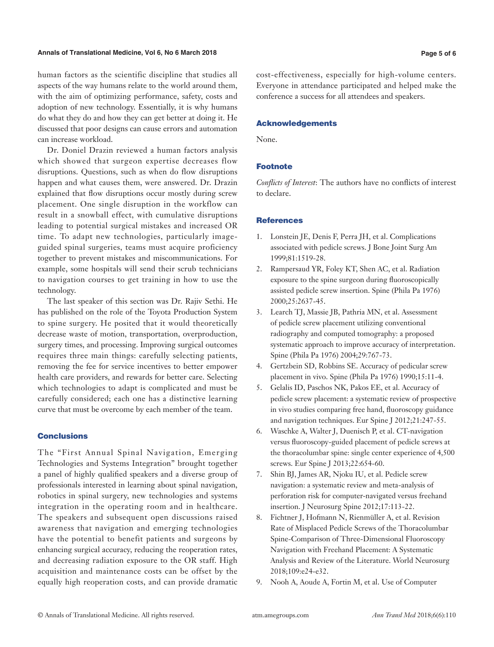## **Annals of Translational Medicine, Vol 6, No 6 March 2018 Page 5 of 6**

human factors as the scientific discipline that studies all aspects of the way humans relate to the world around them, with the aim of optimizing performance, safety, costs and adoption of new technology. Essentially, it is why humans do what they do and how they can get better at doing it. He discussed that poor designs can cause errors and automation can increase workload.

Dr. Doniel Drazin reviewed a human factors analysis which showed that surgeon expertise decreases flow disruptions. Questions, such as when do flow disruptions happen and what causes them, were answered. Dr. Drazin explained that flow disruptions occur mostly during screw placement. One single disruption in the workflow can result in a snowball effect, with cumulative disruptions leading to potential surgical mistakes and increased OR time. To adapt new technologies, particularly imageguided spinal surgeries, teams must acquire proficiency together to prevent mistakes and miscommunications. For example, some hospitals will send their scrub technicians to navigation courses to get training in how to use the technology.

The last speaker of this section was Dr. Rajiv Sethi. He has published on the role of the Toyota Production System to spine surgery. He posited that it would theoretically decrease waste of motion, transportation, overproduction, surgery times, and processing. Improving surgical outcomes requires three main things: carefully selecting patients, removing the fee for service incentives to better empower health care providers, and rewards for better care. Selecting which technologies to adapt is complicated and must be carefully considered; each one has a distinctive learning curve that must be overcome by each member of the team.

# **Conclusions**

The "First Annual Spinal Navigation, Emerging Technologies and Systems Integration" brought together a panel of highly qualified speakers and a diverse group of professionals interested in learning about spinal navigation, robotics in spinal surgery, new technologies and systems integration in the operating room and in healthcare. The speakers and subsequent open discussions raised awareness that navigation and emerging technologies have the potential to benefit patients and surgeons by enhancing surgical accuracy, reducing the reoperation rates, and decreasing radiation exposure to the OR staff. High acquisition and maintenance costs can be offset by the equally high reoperation costs, and can provide dramatic cost-effectiveness, especially for high-volume centers. Everyone in attendance participated and helped make the conference a success for all attendees and speakers.

#### Acknowledgements

None.

# Footnote

*Conflicts of Interest*: The authors have no conflicts of interest to declare.

## **References**

- 1. Lonstein JE, Denis F, Perra JH, et al. Complications associated with pedicle screws. J Bone Joint Surg Am 1999;81:1519-28.
- 2. Rampersaud YR, Foley KT, Shen AC, et al. Radiation exposure to the spine surgeon during fluoroscopically assisted pedicle screw insertion. Spine (Phila Pa 1976) 2000;25:2637-45.
- 3. Learch TJ, Massie JB, Pathria MN, et al. Assessment of pedicle screw placement utilizing conventional radiography and computed tomography: a proposed systematic approach to improve accuracy of interpretation. Spine (Phila Pa 1976) 2004;29:767-73.
- 4. Gertzbein SD, Robbins SE. Accuracy of pedicular screw placement in vivo. Spine (Phila Pa 1976) 1990;15:11-4.
- 5. Gelalis ID, Paschos NK, Pakos EE, et al. Accuracy of pedicle screw placement: a systematic review of prospective in vivo studies comparing free hand, fluoroscopy guidance and navigation techniques. Eur Spine J 2012;21:247-55.
- 6. Waschke A, Walter J, Duenisch P, et al. CT-navigation versus fluoroscopy-guided placement of pedicle screws at the thoracolumbar spine: single center experience of 4,500 screws. Eur Spine J 2013;22:654-60.
- 7. Shin BJ, James AR, Njoku IU, et al. Pedicle screw navigation: a systematic review and meta-analysis of perforation risk for computer-navigated versus freehand insertion. J Neurosurg Spine 2012;17:113-22.
- 8. Fichtner J, Hofmann N, Rienmüller A, et al. Revision Rate of Misplaced Pedicle Screws of the Thoracolumbar Spine-Comparison of Three-Dimensional Fluoroscopy Navigation with Freehand Placement: A Systematic Analysis and Review of the Literature. World Neurosurg 2018;109:e24-e32.
- 9. Nooh A, Aoude A, Fortin M, et al. Use of Computer